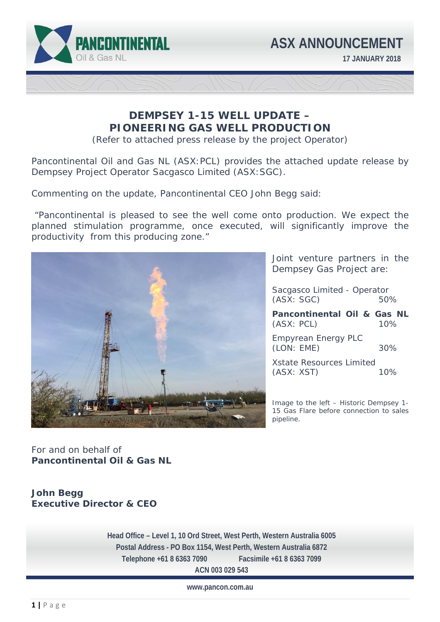

# **DEMPSEY 1-15 WELL UPDATE – PIONEERING GAS WELL PRODUCTION**

(Refer to attached press release by the project Operator)

Pancontinental Oil and Gas NL (ASX:PCL) provides the attached update release by Dempsey Project Operator Sacgasco Limited (ASX:SGC).

Commenting on the update, Pancontinental CEO John Begg said:

 "*Pancontinental is pleased to see the well come onto production. We expect the planned stimulation programme, once executed, will significantly improve the productivity from this producing zone."* 



Joint venture partners in the Dempsey Gas Project are:

Sacgasco Limited - Operator (ASX: SGC) 50%

**Pancontinental Oil & Gas NL** (ASX: PCL) 10% Empyrean Energy PLC

(LON: EME) 30%

Xstate Resources Limited (ASX: XST) 10%

Image to the left – Historic Dempsey 1- 15 Gas Flare before connection to sales pipeline.

For and on behalf of **Pancontinental Oil & Gas NL** 

# **John Begg Executive Director & CEO**

 **Telephone +61 8 6363 7090 Facsimile +61 8 6363 7099 Head Office – Level 1, 10 Ord Street, West Perth, Western Australia 6005 Postal Address - PO Box 1154, West Perth, Western Australia 6872 ACN 003 029 543** 

**www.pancon.com.au**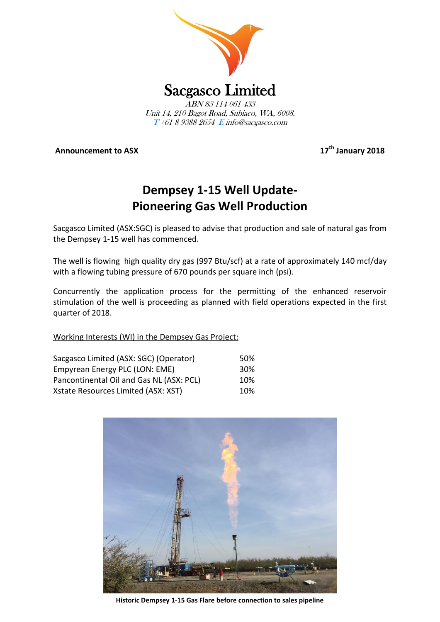

**Announcement to ASX** 

**th January 2018**

# **Dempsey 1-15 Well Update-Pioneering Gas Well Production**

Sacgasco Limited (ASX:SGC) is pleased to advise that production and sale of natural gas from the Dempsey 1-15 well has commenced.

The well is flowing high quality dry gas (997 Btu/scf) at a rate of approximately 140 mcf/day with a flowing tubing pressure of 670 pounds per square inch (psi).

Concurrently the application process for the permitting of the enhanced reservoir stimulation of the well is proceeding as planned with field operations expected in the first quarter of 2018.

Working Interests (WI) in the Dempsey Gas Project:

| Sacgasco Limited (ASX: SGC) (Operator)   | .50%            |
|------------------------------------------|-----------------|
| Empyrean Energy PLC (LON: EME)           | 30 <sup>%</sup> |
| Pancontinental Oil and Gas NL (ASX: PCL) | 10%             |
| Xstate Resources Limited (ASX: XST)      | 10%             |



**Historic Dempsey 1-15 Gas Flare before connection to sales pipeline**